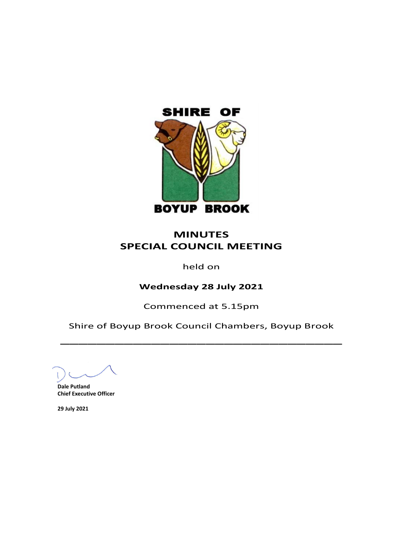

## **MINUTES SPECIAL COUNCIL MEETING**

## held on

## **Wednesday 28 July 2021**

Commenced at 5.15pm

Shire of Boyup Brook Council Chambers, Boyup Brook  $\overline{\phantom{a}}$ 

**Dale Putland Chief Executive Officer**

**29 July 2021**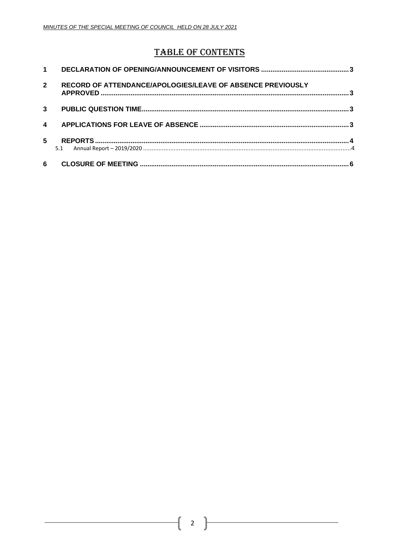# **TABLE OF CONTENTS**

| $\mathbf 1$      |                                                            |  |
|------------------|------------------------------------------------------------|--|
| $\overline{2}$   | RECORD OF ATTENDANCE/APOLOGIES/LEAVE OF ABSENCE PREVIOUSLY |  |
| 3                |                                                            |  |
| $\blacktriangle$ |                                                            |  |
| 5                | 5.1                                                        |  |
| 6                |                                                            |  |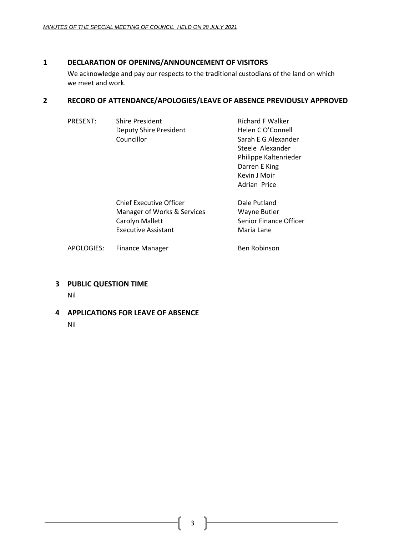### <span id="page-2-0"></span>**1 DECLARATION OF OPENING/ANNOUNCEMENT OF VISITORS**

We acknowledge and pay our respects to the traditional custodians of the land on which we meet and work.

## <span id="page-2-1"></span>**2 RECORD OF ATTENDANCE/APOLOGIES/LEAVE OF ABSENCE PREVIOUSLY APPROVED**

| <b>PRESENT:</b> | <b>Shire President</b><br><b>Deputy Shire President</b><br>Councillor                                   | <b>Richard F Walker</b><br>Helen C O'Connell<br>Sarah E G Alexander<br>Steele Alexander<br>Philippe Kaltenrieder<br>Darren E King<br>Kevin J Moir<br>Adrian Price |
|-----------------|---------------------------------------------------------------------------------------------------------|-------------------------------------------------------------------------------------------------------------------------------------------------------------------|
|                 | Chief Executive Officer<br>Manager of Works & Services<br>Carolyn Mallett<br><b>Executive Assistant</b> | Dale Putland<br>Wayne Butler<br>Senior Finance Officer<br>Maria Lane                                                                                              |
| APOLOGIES:      | Finance Manager                                                                                         | Ben Robinson                                                                                                                                                      |

<span id="page-2-2"></span>**3 PUBLIC QUESTION TIME**

Nil

<span id="page-2-3"></span>**4 APPLICATIONS FOR LEAVE OF ABSENCE**

Nil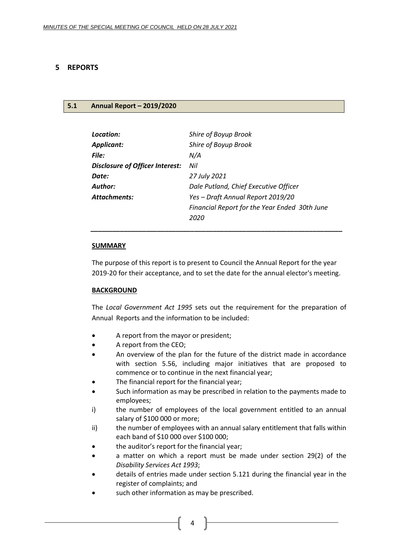#### <span id="page-3-0"></span>**5 REPORTS**

#### <span id="page-3-1"></span>**5.1 Annual Report – 2019/2020**

| Location:                              | Shire of Boyup Brook                          |
|----------------------------------------|-----------------------------------------------|
| <b>Applicant:</b>                      | Shire of Boyup Brook                          |
| File:                                  | N/A                                           |
| <b>Disclosure of Officer Interest:</b> | Nil                                           |
| Date:                                  | 27 July 2021                                  |
| Author:                                | Dale Putland, Chief Executive Officer         |
| <b>Attachments:</b>                    | Yes - Draft Annual Report 2019/20             |
|                                        | Financial Report for the Year Ended 30th June |
|                                        | 2020                                          |
|                                        |                                               |

#### **SUMMARY**

The purpose of this report is to present to Council the Annual Report for the year 2019-20 for their acceptance, and to set the date for the annual elector's meeting.

#### **BACKGROUND**

The *Local Government Act 1995* sets out the requirement for the preparation of Annual Reports and the information to be included:

- A report from the mayor or president;
- A report from the CEO;
- An overview of the plan for the future of the district made in accordance with section 5.56, including major initiatives that are proposed to commence or to continue in the next financial year;
- The financial report for the financial year;
- Such information as may be prescribed in relation to the payments made to employees;
- i) the number of employees of the local government entitled to an annual salary of \$100 000 or more;
- ii) the number of employees with an annual salary entitlement that falls within each band of \$10 000 over \$100 000;
- the auditor's report for the financial year;
- a matter on which a report must be made under section 29(2) of the *Disability Services Act 1993*;
- details of entries made under section 5.121 during the financial year in the register of complaints; and
- such other information as may be prescribed.

4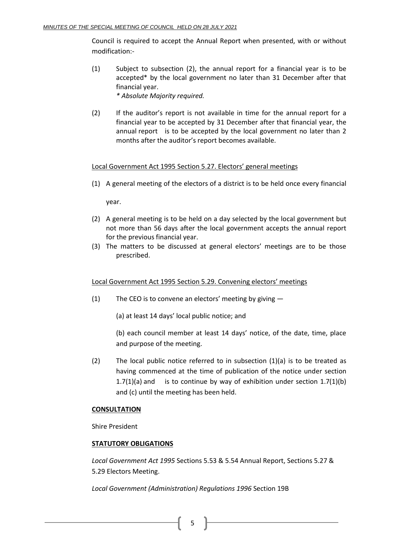Council is required to accept the Annual Report when presented, with or without modification:-

- (1) Subject to subsection (2), the annual report for a financial year is to be accepted\* by the local government no later than 31 December after that financial year. *\* Absolute Majority required.*
- (2) If the auditor's report is not available in time for the annual report for a financial year to be accepted by 31 December after that financial year, the annual report is to be accepted by the local government no later than 2 months after the auditor's report becomes available.

#### Local Government Act 1995 Section 5.27. Electors' general meetings

(1) A general meeting of the electors of a district is to be held once every financial

year.

- (2) A general meeting is to be held on a day selected by the local government but not more than 56 days after the local government accepts the annual report for the previous financial year.
- (3) The matters to be discussed at general electors' meetings are to be those prescribed.

#### Local Government Act 1995 Section 5.29. Convening electors' meetings

(1) The CEO is to convene an electors' meeting by giving —

(a) at least 14 days' local public notice; and

(b) each council member at least 14 days' notice, of the date, time, place and purpose of the meeting.

(2) The local public notice referred to in subsection  $(1)(a)$  is to be treated as having commenced at the time of publication of the notice under section 1.7(1)(a) and is to continue by way of exhibition under section  $1.7(1)(b)$ and (c) until the meeting has been held.

#### **CONSULTATION**

Shire President

#### **STATUTORY OBLIGATIONS**

*Local Government Act 1995* Sections 5.53 & 5.54 Annual Report, Sections 5.27 & 5.29 Electors Meeting.

*Local Government (Administration) Regulations 1996* Section 19B

 $5 \parallel$